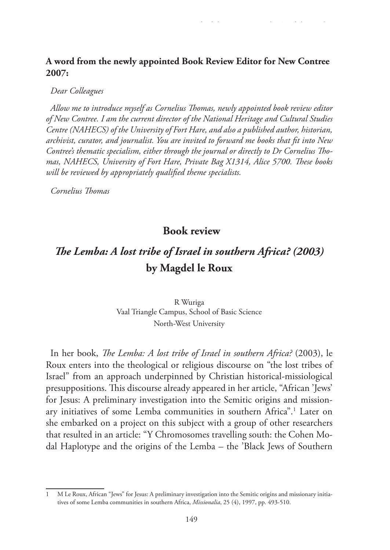## **A word from the newly appointed Book Review Editor for New Contree 2007:**

*Dear Colleagues*

*Allow me to introduce myself as Cornelius Thomas, newly appointed book review editor of New Contree. I am the current director of the National Heritage and Cultural Studies Centre (NAHECS) of the University of Fort Hare, and also a published author, historian, archivist, curator, and journalist. You are invited to forward me books that fit into New Contree's thematic specialism, either through the journal or directly to Dr Cornelius Thomas, NAHECS, University of Fort Hare, Private Bag X1314, Alice 5700. These books will be reviewed by appropriately qualified theme specialists.*

*Cornelius Thomas*

## **Book review**

## *The Lemba: A lost tribe of Israel in southern Africa? (2003)*  **by Magdel le Roux**

R Wuriga Vaal Triangle Campus, School of Basic Science North-West University

In her book, *The Lemba: A lost tribe of Israel in southern Africa?* (2003), le Roux enters into the theological or religious discourse on "the lost tribes of Israel" from an approach underpinned by Christian historical-missiological presuppositions. This discourse already appeared in her article, "African 'Jews' for Jesus: A preliminary investigation into the Semitic origins and missionary initiatives of some Lemba communities in southern Africa".1 Later on she embarked on a project on this subject with a group of other researchers that resulted in an article: "Y Chromosomes travelling south: the Cohen Modal Haplotype and the origins of the Lemba – the 'Black Jews of Southern

<sup>1</sup> M Le Roux, African "Jews" for Jesus: A preliminary investigation into the Semitic origins and missionary initiatives of some Lemba communities in southern Africa, *Missionalia*, 25 (4), 1997, pp. 493-510.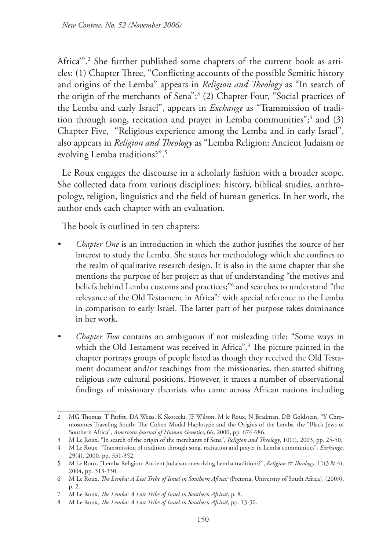Africa'".2 She further published some chapters of the current book as articles: (1) Chapter Three, "Conflicting accounts of the possible Semitic history and origins of the Lemba" appears in *Religion and Theology* as "In search of the origin of the merchants of Sena";<sup>3</sup> (2) Chapter Four, "Social practices of the Lemba and early Israel", appears in *Exchange* as "Transmission of tradition through song, recitation and prayer in Lemba communities";<sup>4</sup> and (3) Chapter Five, "Religious experience among the Lemba and in early Israel", also appears in *Religion and Theology* as "Lemba Religion: Ancient Judaism or evolving Lemba traditions?".5

Le Roux engages the discourse in a scholarly fashion with a broader scope. She collected data from various disciplines: history, biblical studies, anthropology, religion, linguistics and the field of human genetics. In her work, the author ends each chapter with an evaluation.

The book is outlined in ten chapters:

- *Chapter One* is an introduction in which the author justifies the source of her interest to study the Lemba. She states her methodology which she confines to the realm of qualitative research design. It is also in the same chapter that she mentions the purpose of her project as that of understanding "the motives and beliefs behind Lemba customs and practices;"6 and searches to understand "the relevance of the Old Testament in Africa"7 with special reference to the Lemba in comparison to early Israel. The latter part of her purpose takes dominance in her work.
- *• Chapter Two* contains an ambiguous if not misleading title: "Some ways in which the Old Testament was received in Africa".8 The picture painted in the chapter portrays groups of people listed as though they received the Old Testament document and/or teachings from the missionaries, then started shifting religious *cum* cultural positions. However, it traces a number of observational findings of missionary theorists who came across African nations including

<sup>2</sup> MG Thomas, T Parfitt, DA Weiss, K Skorecki, JF Wilson, M le Roux, N Bradman, DB Goldstein, "Y Chromosomes Traveling South: The Cohen Modal Haplotype and the Origins of the Lemba–the "Black Jews of Southern Africa", *American Journal of Human Genetics*, 66, 2000, pp. 674-686.

<sup>3</sup> M Le Roux, "In search of the origin of the merchants of Sena", *Religion and Theology*, 10(1), 2003, pp. 25-50.

<sup>4</sup> M Le Roux, "Transmission of tradition through song, recitation and prayer in Lemba communities", *Exchange*, 29(4), 2000, pp. 331-352.

<sup>5</sup> M Le Roux, "Lemba Religion: Ancient Judaism or evolving Lemba traditions?", *Religion & Theology*, 11(3 & 4), 2004, pp. 313-330.

<sup>6</sup> M Le Roux, *The Lemba: A Lost Tribe of Israel in Southern Africa? (*Pretoria, University of South Africa), (2003), p. 2.

<sup>7</sup> M Le Roux, *The Lemba: A Lost Tribe of Israel in Southern Africa?,* p. 8.

<sup>8</sup> M Le Roux, *The Lemba: A Lost Tribe of Israel in Southern Africa?,* pp. 13-30.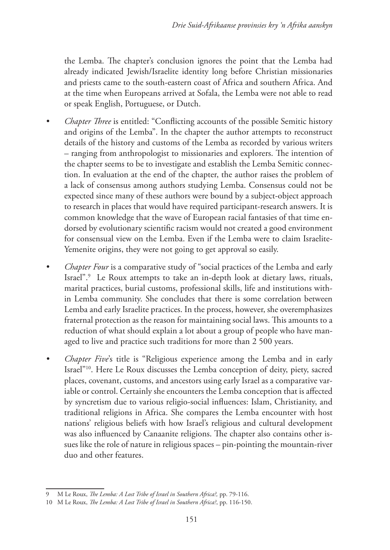the Lemba. The chapter's conclusion ignores the point that the Lemba had already indicated Jewish/Israelite identity long before Christian missionaries and priests came to the south-eastern coast of Africa and southern Africa. And at the time when Europeans arrived at Sofala, the Lemba were not able to read or speak English, Portuguese, or Dutch.

- *• Chapter Three* is entitled: "Conflicting accounts of the possible Semitic history and origins of the Lemba". In the chapter the author attempts to reconstruct details of the history and customs of the Lemba as recorded by various writers – ranging from anthropologist to missionaries and explorers. The intention of the chapter seems to be to investigate and establish the Lemba Semitic connection. In evaluation at the end of the chapter, the author raises the problem of a lack of consensus among authors studying Lemba. Consensus could not be expected since many of these authors were bound by a subject-object approach to research in places that would have required participant-research answers. It is common knowledge that the wave of European racial fantasies of that time endorsed by evolutionary scientific racism would not created a good environment for consensual view on the Lemba. Even if the Lemba were to claim Israelite-Yemenite origins, they were not going to get approval so easily.
- *• Chapter Four* is a comparative study of "social practices of the Lemba and early Israel".9 Le Roux attempts to take an in-depth look at dietary laws, rituals, marital practices, burial customs, professional skills, life and institutions within Lemba community. She concludes that there is some correlation between Lemba and early Israelite practices. In the process, however, she overemphasizes fraternal protection as the reason for maintaining social laws. This amounts to a reduction of what should explain a lot about a group of people who have managed to live and practice such traditions for more than 2 500 years.
- *• Chapter Five*'s title is "Religious experience among the Lemba and in early Israel"10. Here Le Roux discusses the Lemba conception of deity, piety, sacred places, covenant, customs, and ancestors using early Israel as a comparative variable or control. Certainly she encounters the Lemba conception that is affected by syncretism due to various religio-social influences: Islam, Christianity, and traditional religions in Africa. She compares the Lemba encounter with host nations' religious beliefs with how Israel's religious and cultural development was also influenced by Canaanite religions. The chapter also contains other issues like the role of nature in religious spaces – pin-pointing the mountain-river duo and other features.

<sup>9</sup> M Le Roux, *The Lemba: A Lost Tribe of Israel in Southern Africa?,* pp. 79-116.

<sup>10</sup> M Le Roux, *The Lemba: A Lost Tribe of Israel in Southern Africa?*, pp. 116-150.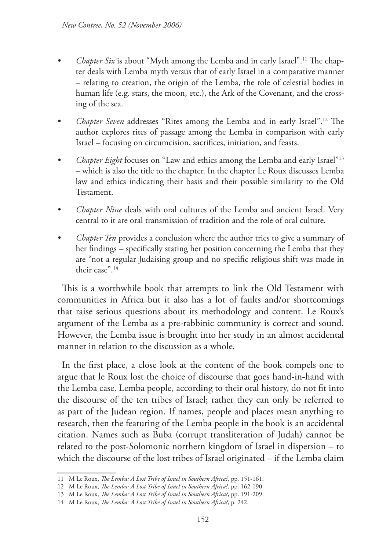- *• Chapter Six* is about "Myth among the Lemba and in early Israel".11 The chapter deals with Lemba myth versus that of early Israel in a comparative manner – relating to creation, the origin of the Lemba, the role of celestial bodies in human life (e.g. stars, the moon, etc.), the Ark of the Covenant, and the crossing of the sea.
- *• Chapter Seven* addresses "Rites among the Lemba and in early Israel".12 The author explores rites of passage among the Lemba in comparison with early Israel – focusing on circumcision, sacrifices, initiation, and feasts.
- *• Chapter Eight* focuses on "Law and ethics among the Lemba and early Israel"13 – which is also the title to the chapter. In the chapter Le Roux discusses Lemba law and ethics indicating their basis and their possible similarity to the Old Testament.
- *• Chapter Nine* deals with oral cultures of the Lemba and ancient Israel. Very central to it are oral transmission of tradition and the role of oral culture.
- *• Chapter Ten* provides a conclusion where the author tries to give a summary of her findings – specifically stating her position concerning the Lemba that they are "not a regular Judaising group and no specific religious shift was made in their case"<sup>14</sup>

This is a worthwhile book that attempts to link the Old Testament with communities in Africa but it also has a lot of faults and/or shortcomings that raise serious questions about its methodology and content. Le Roux's argument of the Lemba as a pre-rabbinic community is correct and sound. However, the Lemba issue is brought into her study in an almost accidental manner in relation to the discussion as a whole.

In the first place, a close look at the content of the book compels one to argue that le Roux lost the choice of discourse that goes hand-in-hand with the Lemba case. Lemba people, according to their oral history, do not fit into the discourse of the ten tribes of Israel; rather they can only be referred to as part of the Judean region. If names, people and places mean anything to research, then the featuring of the Lemba people in the book is an accidental citation. Names such as Buba (corrupt transliteration of Judah) cannot be related to the post-Solomonic northern kingdom of Israel in dispersion – to which the discourse of the lost tribes of Israel originated – if the Lemba claim

<sup>11</sup> M Le Roux, *The Lemba: A Lost Tribe of Israel in Southern Africa?*, pp. 151-161.

<sup>12</sup> M Le Roux, *The Lemba: A Lost Tribe of Israel in Southern Africa?*, pp. 162-190.

<sup>13</sup> M Le Roux, *The Lemba: A Lost Tribe of Israel in Southern Africa?*, pp. 191-209.

<sup>14</sup> M Le Roux, *The Lemba: A Lost Tribe of Israel in Southern Africa?*, p. 242.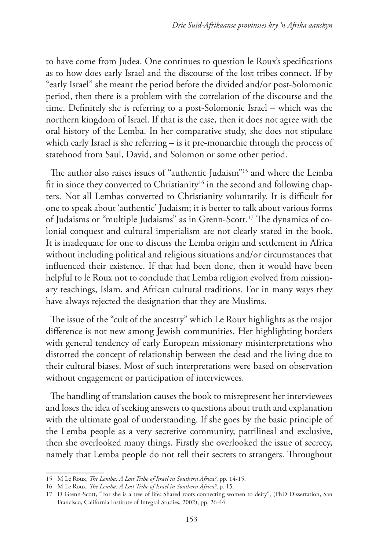to have come from Judea. One continues to question le Roux's specifications as to how does early Israel and the discourse of the lost tribes connect. If by "early Israel" she meant the period before the divided and/or post-Solomonic period, then there is a problem with the correlation of the discourse and the time. Definitely she is referring to a post-Solomonic Israel – which was the northern kingdom of Israel. If that is the case, then it does not agree with the oral history of the Lemba. In her comparative study, she does not stipulate which early Israel is she referring – is it pre-monarchic through the process of statehood from Saul, David, and Solomon or some other period.

The author also raises issues of "authentic Judaism"15 and where the Lemba fit in since they converted to Christianity<sup>16</sup> in the second and following chapters. Not all Lembas converted to Christianity voluntarily. It is difficult for one to speak about 'authentic' Judaism; it is better to talk about various forms of Judaisms or "multiple Judaisms" as in Grenn-Scott.17 The dynamics of colonial conquest and cultural imperialism are not clearly stated in the book. It is inadequate for one to discuss the Lemba origin and settlement in Africa without including political and religious situations and/or circumstances that influenced their existence. If that had been done, then it would have been helpful to le Roux not to conclude that Lemba religion evolved from missionary teachings, Islam, and African cultural traditions. For in many ways they have always rejected the designation that they are Muslims.

The issue of the "cult of the ancestry" which Le Roux highlights as the major difference is not new among Jewish communities. Her highlighting borders with general tendency of early European missionary misinterpretations who distorted the concept of relationship between the dead and the living due to their cultural biases. Most of such interpretations were based on observation without engagement or participation of interviewees.

The handling of translation causes the book to misrepresent her interviewees and loses the idea of seeking answers to questions about truth and explanation with the ultimate goal of understanding. If she goes by the basic principle of the Lemba people as a very secretive community, patrilineal and exclusive, then she overlooked many things. Firstly she overlooked the issue of secrecy, namely that Lemba people do not tell their secrets to strangers. Throughout

<sup>15</sup> M Le Roux, *The Lemba: A Lost Tribe of Israel in Southern Africa?*, pp. 14-15.

<sup>16</sup> M Le Roux, *The Lemba: A Lost Tribe of Israel in Southern Africa?*, p. 15.

<sup>17</sup> D Grenn-Scott, "For she is a tree of life: Shared roots connecting women to deity", (PhD Dissertation, San Francisco, California Institute of Integral Studies, 2002), pp. 26-44.